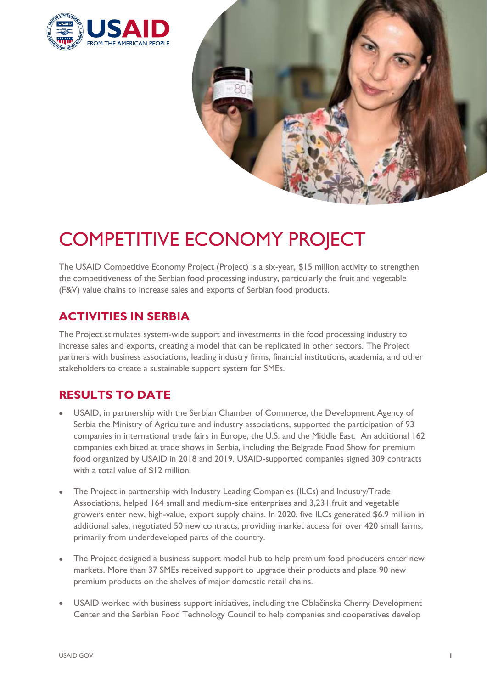



# COMPETITIVE ECONOMY PROJECT

The USAID Competitive Economy Project (Project) is a six-year, \$15 million activity to strengthen the competitiveness of the Serbian food processing industry, particularly the fruit and vegetable (F&V) value chains to increase sales and exports of Serbian food products.

# **ACTIVITIES IN SERBIA**

The Project stimulates system-wide support and investments in the food processing industry to increase sales and exports, creating a model that can be replicated in other sectors. The Project partners with business associations, leading industry firms, financial institutions, academia, and other stakeholders to create a sustainable support system for SMEs.

# **RESULTS TO DATE**

- USAID, in partnership with the Serbian Chamber of Commerce, the Development Agency of Serbia the Ministry of Agriculture and industry associations, supported the participation of 93 companies in international trade fairs in Europe, the U.S. and the Middle East. An additional 162 companies exhibited at trade shows in Serbia, including the Belgrade Food Show for premium food organized by USAID in 2018 and 2019. USAID-supported companies signed 309 contracts with a total value of \$12 million.
- The Project in partnership with Industry Leading Companies (ILCs) and Industry/Trade Associations, helped 164 small and medium-size enterprises and 3,231 fruit and vegetable growers enter new, high-value, export supply chains. In 2020, five ILCs generated \$6.9 million in additional sales, negotiated 50 new contracts, providing market access for over 420 small farms, primarily from underdeveloped parts of the country.
- The Project designed a business support model hub to help premium food producers enter new markets. More than 37 SMEs received support to upgrade their products and place 90 new premium products on the shelves of major domestic retail chains.
- USAID worked with business support initiatives, including the Oblačinska Cherry Development Center and the Serbian Food Technology Council to help companies and cooperatives develop